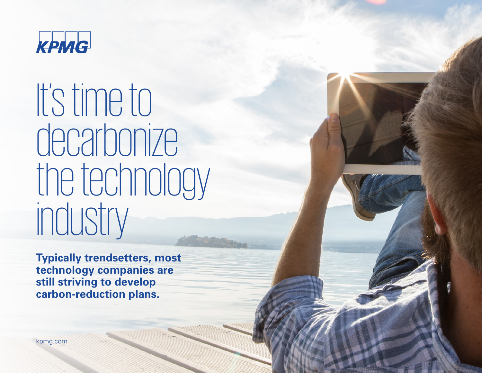

It's time to decarbonize the technology industry

**Typically trendsetters, most technology companies are still striving to develop carbon-reduction plans.**

[kpmg.com](https://home.kpmg/xx/en/home.html)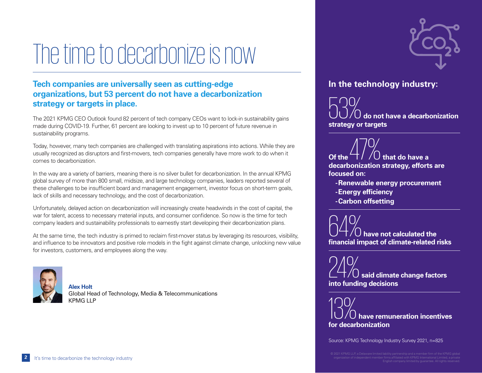# The time to decarbonize is now

### **Tech companies are universally seen as cutting-edge organizations, but 53 percent do not have a decarbonization strategy or targets in place.**

The 2021 KPMG CEO Outlook found 82 percent of tech company CEOs want to lock-in sustainability gains made during COVID-19. Further, 61 percent are looking to invest up to 10 percent of future revenue in sustainability programs.

Today, however, many tech companies are challenged with translating aspirations into actions. While they are usually recognized as disruptors and first-movers, tech companies generally have more work to do when it comes to decarbonization.

In the way are a variety of barriers, meaning there is no silver bullet for decarbonization. In the annual KPMG global survey of more than 800 small, midsize, and large technology companies, leaders reported several of these challenges to be insufficient board and management engagement, investor focus on short-term goals, lack of skills and necessary technology, and the cost of decarbonization.

Unfortunately, delayed action on decarbonization will increasingly create headwinds in the cost of capital, the war for talent, access to necessary material inputs, and consumer confidence. So now is the time for tech company leaders and sustainability professionals to earnestly start developing their decarbonization plans.

At the same time, the tech industry is primed to reclaim first-mover status by leveraging its resources, visibility, and influence to be innovators and positive role models in the fight against climate change, unlocking new value for investors, customers, and employees along the way.



**Alex Holt** Global Head of Technology, Media & Telecommunications KPMG LLP



### **In the technology industry:**

53% **do not have a decarbonization strategy or targets**

 $\sqrt{47\%}$  the  $\sqrt{47\%}$  that do have a **decarbonization strategy, efforts are focused on:**

- **-Renewable energy procurement**
- **-Energy efficiency**
- **-Carbon offsetting**

64% **have not calculated the financial impact of climate-related risks**

24% **said climate change factors into funding decisions**

13% **have remuneration incentives for decarbonization**

Source: KPMG Technology Industry Survey 2021, n=825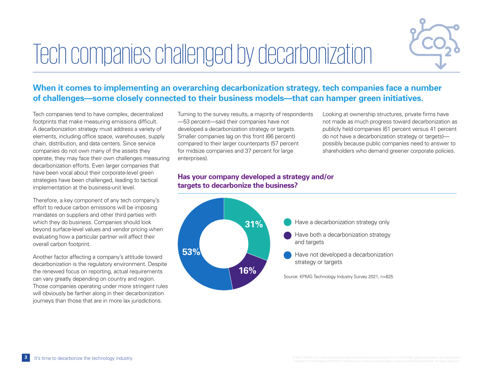# Tech companies challenged by decarbonization



### **When it comes to implementing an overarching decarbonization strategy, tech companies face a number of challenges—some closely connected to their business models—that can hamper green initiatives.**

Tech companies tend to have complex, decentralized footprints that make measuring emissions difficult. A decarbonization strategy must address a variety of elements, including office space, warehouses, supply chain, distribution, and data centers. Since service companies do not own many of the assets they operate, they may face their own challenges measuring decarbonization efforts. Even larger companies that have been vocal about their corporate-level green strategies have been challenged, leading to tactical implementation at the business-unit level.

Therefore, a key component of any tech company's effort to reduce carbon emissions will be imposing mandates on suppliers and other third parties with which they do business. Companies should look beyond surface-level values and vendor pricing when evaluating how a particular partner will affect their overall carbon footprint.

Another factor affecting a company's attitude toward decarbonization is the regulatory environment. Despite the renewed focus on reporting, actual requirements can vary greatly depending on country and region. Those companies operating under more stringent rules will obviously be farther along in their decarbonization journeys than those that are in more lax jurisdictions.

Turning to the survey results, a majority of respondents —53 percent—said their companies have not developed a decarbonization strategy or targets. Smaller companies lag on this front (66 percent) compared to their larger counterparts (57 percent for midsize companies and 37 percent for large enterprises).

**Has your company developed a strategy and/or targets to decarbonize the business?**



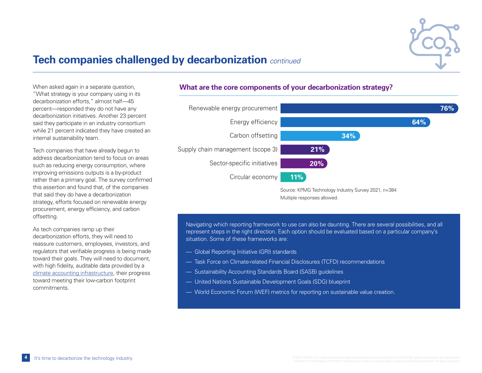

### **Tech companies challenged by decarbonization** *continued*

When asked again in a separate question, "What strategy is your company using in its decarbonization efforts," almost half—45 percent—responded they do not have any decarbonization initiatives. Another 23 percent said they participate in an industry consortium while 21 percent indicated they have created an internal sustainability team.

Tech companies that have already begun to address decarbonization tend to focus on areas such as reducing energy consumption, where improving emissions outputs is a by-product rather than a primary goal. The survey confirmed this assertion and found that, of the companies that said they do have a decarbonization strategy, efforts focused on renewable energy procurement, energy efficiency, and carbon offsetting.

As tech companies ramp up their decarbonization efforts, they will need to reassure customers, employees, investors, and regulators that verifiable progress is being made toward their goals. They will need to document, with high fidelity, auditable data provided by a [climate accounting infrastructure](https://advisory.kpmg.us/articles/2020/climate-accounting.html), their progress toward meeting their low-carbon footprint commitments.

#### **What are the core components of your decarbonization strategy?**



Navigating which reporting framework to use can also be daunting. There are several possibilities, and all represent steps in the right direction. Each option should be evaluated based on a particular company's situation. Some of these frameworks are:

- Global Reporting Initiative (GRI) standards
- Task Force on Climate-related Financial Disclosures (TCFD) recommendations
- Sustainability Accounting Standards Board (SASB) guidelines
- United Nations Sustainable Development Goals (SDG) blueprint
- World Economic Forum (WEF) metrics for reporting on sustainable value creation.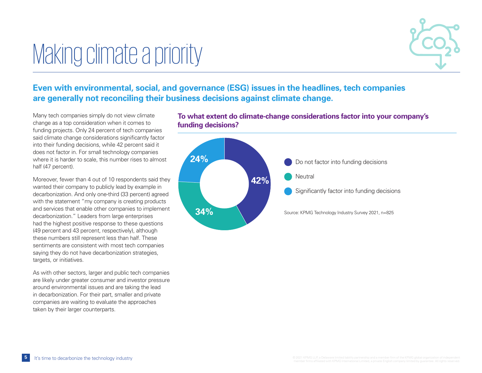# Making climate a priority



### **Even with environmental, social, and governance (ESG) issues in the headlines, tech companies are generally not reconciling their business decisions against climate change.**

Many tech companies simply do not view climate change as a top consideration when it comes to funding projects. Only 24 percent of tech companies said climate change considerations significantly factor into their funding decisions, while 42 percent said it does not factor in. For small technology companies where it is harder to scale, this number rises to almost half (47 percent).

Moreover, fewer than 4 out of 10 respondents said they wanted their company to publicly lead by example in decarbonization. And only one-third (33 percent) agreed with the statement "my company is creating products and services that enable other companies to implement decarbonization." Leaders from large enterprises had the highest positive response to these questions (49 percent and 43 percent, respectively), although these numbers still represent less than half. These sentiments are consistent with most tech companies saying they do not have decarbonization strategies, targets, or initiatives.

As with other sectors, larger and public tech companies are likely under greater consumer and investor pressure around environmental issues and are taking the lead in decarbonization. For their part, smaller and private companies are waiting to evaluate the approaches taken by their larger counterparts.

**To what extent do climate-change considerations factor into your company's funding decisions?**

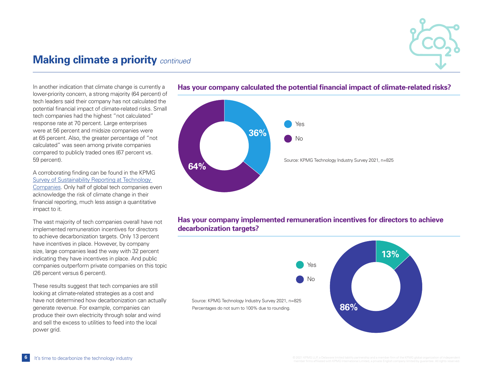

### **Making climate a priority** *continued*

In another indication that climate change is currently a lower-priority concern, a strong majority (64 percent) of tech leaders said their company has not calculated the potential financial impact of climate-related risks. Small tech companies had the highest "not calculated" response rate at 70 percent. Large enterprises were at 56 percent and midsize companies were at 65 percent. Also, the greater percentage of "not calculated" was seen among private companies compared to publicly traded ones (67 percent vs. 59 percent).

A corroborating finding can be found in the KPMG [Survey of Sustainability Reporting at Technology](https://advisory.kpmg.us/articles/2021/survey-of-sustainability-reporting.html)  [Companies.](https://advisory.kpmg.us/articles/2021/survey-of-sustainability-reporting.html) Only half of global tech companies even acknowledge the risk of climate change in their financial reporting, much less assign a quantitative impact to it.

The vast majority of tech companies overall have not implemented remuneration incentives for directors to achieve decarbonization targets. Only 13 percent have incentives in place. However, by company size, large companies lead the way with 32 percent indicating they have incentives in place. And public companies outperform private companies on this topic (26 percent versus 6 percent).

These results suggest that tech companies are still looking at climate-related strategies as a cost and have not determined how decarbonization can actually generate revenue. For example, companies can produce their own electricity through solar and wind and sell the excess to utilities to feed into the local power grid.



### **Has your company calculated the potential financial impact of climate-related risks?**

### **Has your company implemented remuneration incentives for directors to achieve decarbonization targets?**

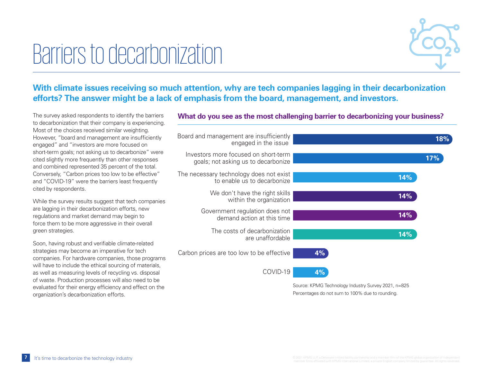# Barriers to decarbonization



### **With climate issues receiving so much attention, why are tech companies lagging in their decarbonization efforts? The answer might be a lack of emphasis from the board, management, and investors.**

The survey asked respondents to identify the barriers to decarbonization that their company is experiencing. Most of the choices received similar weighting. However, "board and management are insufficiently engaged" and "investors are more focused on short-term goals; not asking us to decarbonize" were cited slightly more frequently than other responses and combined represented 35 percent of the total. Conversely, "Carbon prices too low to be effective" and "COVID-19" were the barriers least frequently cited by respondents.

While the survey results suggest that tech companies are lagging in their decarbonization efforts, new regulations and market demand may begin to force them to be more aggressive in their overall green strategies.

Soon, having robust and verifiable climate-related strategies may become an imperative for tech companies. For hardware companies, those programs will have to include the ethical sourcing of materials, as well as measuring levels of recycling vs. disposal of waste. Production processes will also need to be evaluated for their energy efficiency and effect on the organization's decarbonization efforts.

### **What do you see as the most challenging barrier to decarbonizing your business?**



Percentages do not sum to 100% due to rounding.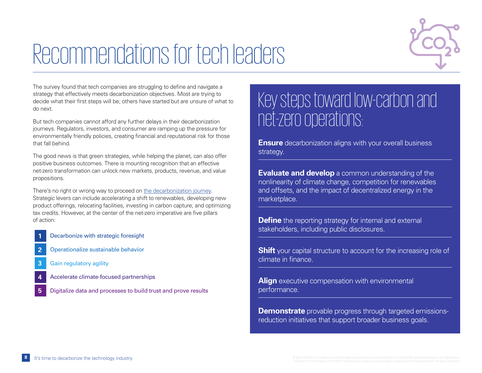

# Recommendations for tech leaders

The survey found that tech companies are struggling to define and navigate a strategy that effectively meets decarbonization objectives. Most are trying to decide what their first steps will be; others have started but are unsure of what to do next.

But tech companies cannot afford any further delays in their decarbonization journeys. Regulators, investors, and consumer are ramping up the pressure for environmentally friendly policies, creating financial and reputational risk for those that fall behind.

The good news is that green strategies, while helping the planet, can also offer positive business outcomes. There is mounting recognition that an effective net-zero transformation can unlock new markets, products, revenue, and value propositions.

There's no right or wrong way to proceed on [the decarbonization journey.](https://advisory.kpmg.us/articles/2021/decarbonization-journey.html) Strategic levers can include accelerating a shift to renewables, developing new product offerings, relocating facilities, investing in carbon capture, and optimizing tax credits. However, at the center of the net-zero imperative are five pillars of action:

- **1** Decarbonize with strategic foresight
- **2** Operationalize sustainable behavior
- **3** Gain regulatory agility
- **4** Accelerate climate-focused partnerships
- **5** Digitalize data and processes to build trust and prove results

## Key steps toward low-carbon and net-zero operations:

**Ensure** decarbonization aligns with your overall business strategy.

**Evaluate and develop** a common understanding of the nonlinearity of climate change, competition for renewables and offsets, and the impact of decentralized energy in the marketplace.

**Define** the reporting strategy for internal and external stakeholders, including public disclosures.

**Shift** your capital structure to account for the increasing role of climate in finance.

**Align** executive compensation with environmental performance.

**Demonstrate** provable progress through targeted emissionsreduction initiatives that support broader business goals.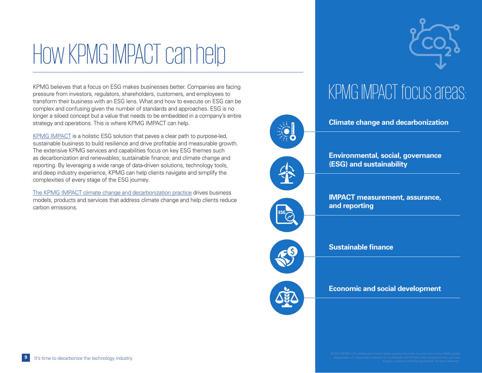# How KPMG IMPACT can help

KPMG believes that a focus on ESG makes businesses better. Companies are facing pressure from investors, regulators, shareholders, customers, and employees to transform their business with an ESG lens. What and how to execute on ESG can be complex and confusing given the number of standards and approaches. ESG is no longer a siloed concept but a value that needs to be embedded in a company's entire strategy and operations. This is where KPMG IMPACT can help.

[KPMG IMPACT](https://home.kpmg/xx/en/home/insights/2020/06/kpmg-impact.html) is a holistic ESG solution that paves a clear path to purpose-led, sustainable business to build resilience and drive profitable and measurable growth. The extensive KPMG services and capabilities focus on key ESG themes such as decarbonization and renewables; sustainable finance; and climate change and reporting. By leveraging a wide range of data-driven solutions, technology tools, and deep industry experience, KPMG can help clients navigate and simplify the complexities of every stage of the ESG journey.

[The KPMG IMPACT climate change and decarbonization practice](https://home.kpmg/xx/en/home/insights/2020/06/climate-change-and-decarbonization.html) drives business models, products and services that address climate change and help clients reduce carbon emissions.



 **Environmental, social, governance (ESG) and sustainability**

 **Climate change and decarbonization**

KPMG IMPACT focus areas:

 **IMPACT measurement, assurance, and reporting**



 **Sustainable finance**

 **Economic and social development**



#### **9** It's time to decarbonize the technology industry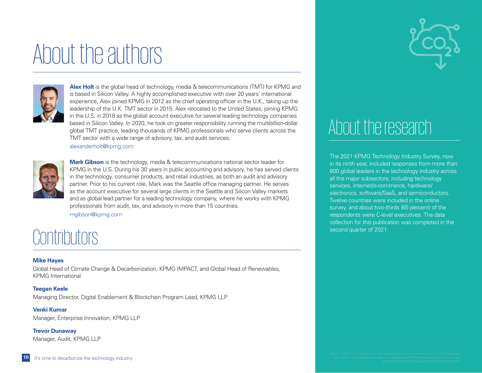# About the authors



**Alex Holt** is the global head of technology, media & telecommunications (TMT) for KPMG and is based in Silicon Valley. A highly accomplished executive with over 20 years' international experience, Alex joined KPMG in 2012 as the chief operating officer in the U.K., taking up the leadership of the U.K. TMT sector in 2015. Alex relocated to the United States, joining KPMG in the U.S. in 2018 as the global account executive for several leading technology companies based in Silicon Valley. In 2020, he took on greater responsibility running the multibillion-dollar global TMT practice, leading thousands of KPMG professionals who serve clients across the TMT sector with a wide range of advisory, tax, and audit services.



**Mark Gibson** is the technology, media & telecommunications national sector leader for KPMG in the U.S. During his 30 years in public accounting and advisory, he has served clients in the technology, consumer products, and retail industries, as both an audit and advisory partner. Prior to his current role, Mark was the Seattle office managing partner. He serves as the account executive for several large clients in the Seattle and Silicon Valley markets and as global lead partner for a leading technology company, where he works with KPMG professionals from audit, tax, and advisory in more than 15 countries.

[mgibson@kpmg.com](mailto:mgibson%40kpmg.com?subject=)

[alexanderholt@kpmg.com](mailto:alexanderholt%40kpmg.com?subject=)

## **Contributors**

#### **Mike Hayes**

Global Head of Climate Change & Decarbonization, KPMG IMPACT, and Global Head of Renewables, KPMG International

#### **Teegan Keele**

Managing Director, Digital Enablement & Blockchain Program Lead, KPMG LLP

### **Venki Kumar**

Manager, Enterprise Innovation, KPMG LLP

**Trevor Dunaway** Manager, Audit, KPMG LLP



## About the research

The 2021 KPMG Technology Industry Survey, now in its ninth year, included responses from more than 800 global leaders in the technology industry across all the major subsectors, including technology services, internet/e-commerce, hardware/ electronics, software/SaaS, and semiconductors. Twelve countries were included in the online survey, and about two-thirds (65 percent) of the respondents were C-level executives. The data collection for this publication was completed in the second quarter of 2021.